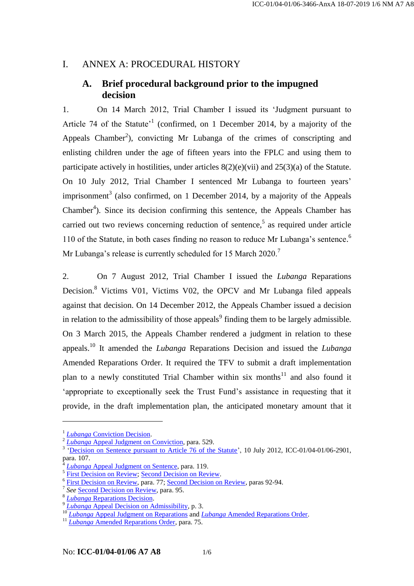## I. ANNEX A: PROCEDURAL HISTORY

## **A. Brief procedural background prior to the impugned decision**

1. On 14 March 2012, Trial Chamber I issued its 'Judgment pursuant to Article 74 of the Statute<sup> $1$ </sup> (confirmed, on 1 December 2014, by a majority of the Appeals Chamber<sup>2</sup>), convicting Mr Lubanga of the crimes of conscripting and enlisting children under the age of fifteen years into the FPLC and using them to participate actively in hostilities, under articles  $8(2)(e)(vi)$  and  $25(3)(a)$  of the Statute. On 10 July 2012, Trial Chamber I sentenced Mr Lubanga to fourteen years' imprisonment<sup>3</sup> (also confirmed, on 1 December 2014, by a majority of the Appeals Chamber<sup>4</sup>). Since its decision confirming this sentence, the Appeals Chamber has carried out two reviews concerning reduction of sentence,<sup>5</sup> as required under article 110 of the Statute, in both cases finding no reason to reduce Mr Lubanga's sentence. 6 Mr Lubanga's release is currently scheduled for 15 March 2020.<sup>7</sup>

2. On 7 August 2012, Trial Chamber I issued the *Lubanga* Reparations Decision.<sup>8</sup> Victims V01, Victims V02, the OPCV and Mr Lubanga filed appeals against that decision. On 14 December 2012, the Appeals Chamber issued a decision in relation to the admissibility of those appeals $\delta$  finding them to be largely admissible. On 3 March 2015, the Appeals Chamber rendered a judgment in relation to these appeals.<sup>10</sup> It amended the *Lubanga* Reparations Decision and issued the *Lubanga* Amended Reparations Order. It required the TFV to submit a draft implementation plan to a newly constituted Trial Chamber within six months<sup>11</sup> and also found it 'appropriate to exceptionally seek the Trust Fund's assistance in requesting that it provide, in the draft implementation plan, the anticipated monetary amount that it

<u>.</u>

<sup>1</sup> *Lubanga* [Conviction Decision.](https://www.legal-tools.org/en/doc/677866/) 2 *Lubanga* [Appeal Judgment on Conviction,](http://www.legal-tools.org/doc/585c75/) para. 529.

<sup>&</sup>lt;sup>3</sup> ['Decision on Sentence pursuant to Article 76 of the Statute'](http://www.legal-tools.org/doc/c79996/), 10 July 2012, ICC-01/04-01/06-2901, para. 107.

*Lubanga* [Appeal Judgment on Sentence,](http://www.legal-tools.org/doc/a9bd07/) para. 119.

<sup>&</sup>lt;sup>5</sup> [First Decision on Review;](http://www.legal-tools.org/doc/88b3f6/) [Second Decision on Review.](http://www.legal-tools.org/doc/050046/)

<sup>&</sup>lt;sup>6</sup> [First Decision on Review,](http://www.legal-tools.org/doc/88b3f6/) para. 77; [Second Decision on Review,](http://www.legal-tools.org/doc/050046/) paras 92-94.

<sup>7</sup> *See* [Second Decision on Review,](http://www.legal-tools.org/doc/050046/) para. 95.

<sup>8</sup> *Lubanga* [Reparations Decision.](http://www.legal-tools.org/doc/a05830/)

<sup>9</sup> *Lubanga* [Appeal Decision on Admissibility,](http://www.legal-tools.org/doc/2e59a0/) p. 3.

<sup>10</sup> *Lubanga* [Appeal Judgment on Reparations](http://www.legal-tools.org/doc/c3fc9d/) and *Lubanga* [Amended Reparations Order.](http://www.legal-tools.org/doc/df2804/)

<sup>11</sup> *Lubanga* [Amended Reparations Order,](http://www.legal-tools.org/doc/df2804/) para. 75.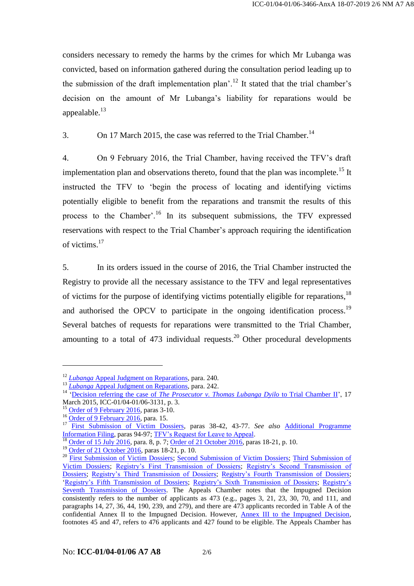considers necessary to remedy the harms by the crimes for which Mr Lubanga was convicted, based on information gathered during the consultation period leading up to the submission of the draft implementation plan'.<sup>12</sup> It stated that the trial chamber's decision on the amount of Mr Lubanga's liability for reparations would be appealable.<sup>13</sup>

3. On 17 March 2015, the case was referred to the Trial Chamber.<sup>14</sup>

4. On 9 February 2016, the Trial Chamber, having received the TFV's draft implementation plan and observations thereto, found that the plan was incomplete.<sup>15</sup> It instructed the TFV to 'begin the process of locating and identifying victims potentially eligible to benefit from the reparations and transmit the results of this process to the Chamber'.<sup>16</sup> In its subsequent submissions, the TFV expressed reservations with respect to the Trial Chamber's approach requiring the identification of victims.<sup>17</sup>

5. In its orders issued in the course of 2016, the Trial Chamber instructed the Registry to provide all the necessary assistance to the TFV and legal representatives of victims for the purpose of identifying victims potentially eligible for reparations,<sup>18</sup> and authorised the OPCV to participate in the ongoing identification process.<sup>19</sup> Several batches of requests for reparations were transmitted to the Trial Chamber, amounting to a total of 473 individual requests.<sup>20</sup> Other procedural developments

<sup>12</sup> *Lubanga* [Appeal Judgment on Reparations,](http://www.legal-tools.org/doc/c3fc9d/) para. 240.

<sup>&</sup>lt;sup>13</sup> *Lubanga* [Appeal Judgment on Reparations,](http://www.legal-tools.org/doc/c3fc9d/) para. 242.

<sup>&</sup>lt;sup>14</sup> 'Decision referring the case of *[The Prosecutor v. Thomas Lubanga Dyilo](http://www.legal-tools.org/doc/08204a/)* to Trial Chamber II', 17 March 2015, ICC-01/04-01/06-3131, p. 3.

<sup>&</sup>lt;sup>15</sup> [Order of 9 February 2016,](https://www.legal-tools.org/en/doc/8b7c4f/) paras  $3-10$ .

 $16 \overline{\text{Order of 9 February 2016, para. 15}}$  $16 \overline{\text{Order of 9 February 2016, para. 15}}$  $16 \overline{\text{Order of 9 February 2016, para. 15}}$ .

<sup>&</sup>lt;sup>17</sup> [First Submission of Victim Dossiers,](http://www.legal-tools.org/doc/0ba1b8/) paras 38-42, 43-77. See also Additional Programme [Information Filing,](http://www.legal-tools.org/doc/b0251c/) paras 94-97; [TFV's Request for Leave to Appeal.](http://www.legal-tools.org/doc/6fcbb6/)

<sup>&</sup>lt;sup>18</sup> [Order of 15 July 2016,](http://www.legal-tools.org/doc/e5077e/) para. 8, p. 7; [Order of 21 October 2016,](http://www.legal-tools.org/doc/196fd6/) paras 18-21, p. 10.

 $19 \overline{\text{Order of 21 October 2016}}$ , paras 18-21, p. 10.

<sup>&</sup>lt;sup>20</sup> [First Submission of Victim Dossiers;](http://www.legal-tools.org/doc/0ba1b8/) Second [Submission of Victim Dossiers;](http://www.legal-tools.org/doc/1e6d7c/) Third Submission of [Victim Dossiers;](http://www.legal-tools.org/doc/b1829d/) [Registry's First Transmission of Dossiers;](http://www.legal-tools.org/doc/af02be/) [Registry's Second Transmission of](http://www.legal-tools.org/doc/bba0be/)  [Dossiers;](http://www.legal-tools.org/doc/bba0be/) [Registry's Third Transmission of Dossiers;](http://www.legal-tools.org/doc/5a44d4/) [Registry's Fourth Transmission of Dossiers;](http://www.legal-tools.org/doc/f4589a/) ['Registry's Fifth Transmission of Dossiers;](http://www.legal-tools.org/doc/e69503/) [Registry's Sixth Transmission of Dossiers;](http://www.legal-tools.org/doc/4dab52/) [Registry's](http://www.legal-tools.org/doc/3f949e/)  [Seventh Transmission of Dossiers.](http://www.legal-tools.org/doc/3f949e/) The Appeals Chamber notes that the Impugned Decision consistently refers to the number of applicants as 473 (e.g., pages 3, 21, 23, 30, 70, and 111, and paragraphs 14, 27, 36, 44, 190, 239, and 279), and there are 473 applicants recorded in Table A of the confidential Annex II to the Impugned Decision. However, [Annex III to the Impugned Decision,](http://www.legal-tools.org/doc/e44d6d/) footnotes 45 and 47, refers to 476 applicants and 427 found to be eligible. The Appeals Chamber has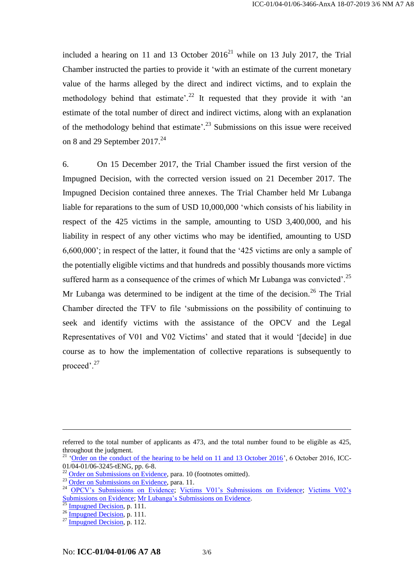included a hearing on 11 and 13 October  $2016<sup>21</sup>$  while on 13 July 2017, the Trial Chamber instructed the parties to provide it 'with an estimate of the current monetary value of the harms alleged by the direct and indirect victims, and to explain the methodology behind that estimate<sup>2</sup>.<sup>22</sup> It requested that they provide it with 'an estimate of the total number of direct and indirect victims, along with an explanation of the methodology behind that estimate<sup>2</sup>.<sup>23</sup> Submissions on this issue were received on 8 and 29 September 2017.<sup>24</sup>

6. On 15 December 2017, the Trial Chamber issued the first version of the Impugned Decision, with the corrected version issued on 21 December 2017. The Impugned Decision contained three annexes. The Trial Chamber held Mr Lubanga liable for reparations to the sum of USD 10,000,000 'which consists of his liability in respect of the 425 victims in the sample, amounting to USD 3,400,000, and his liability in respect of any other victims who may be identified, amounting to USD 6,600,000'; in respect of the latter, it found that the '425 victims are only a sample of the potentially eligible victims and that hundreds and possibly thousands more victims suffered harm as a consequence of the crimes of which Mr Lubanga was convicted'.<sup>25</sup> Mr Lubanga was determined to be indigent at the time of the decision.<sup>26</sup> The Trial Chamber directed the TFV to file 'submissions on the possibility of continuing to seek and identify victims with the assistance of the OPCV and the Legal Representatives of V01 and V02 Victims' and stated that it would '[decide] in due course as to how the implementation of collective reparations is subsequently to proceed'.<sup>27</sup>

 $^{25}$  [Impugned Decision,](http://www.legal-tools.org/doc/96a7c5/) p. 111.

referred to the total number of applicants as 473, and the total number found to be eligible as 425, throughout the judgment.

<sup>&</sup>lt;sup>21</sup> ['Order on the conduct of the hearing to be held on 11 and 13 October 2016'](http://www.legal-tools.org/doc/50215a/), 6 October 2016, ICC-01/04-01/06-3245-tENG, pp. 6-8.

 $22$  [Order on Submissions on](http://www.legal-tools.org/doc/c0e6a9/) Evidence, para. 10 (footnotes omitted).

<sup>&</sup>lt;sup>23</sup> [Order on Submissions on](http://www.legal-tools.org/doc/c0e6a9/) Evidence, para. 11.

<sup>&</sup>lt;sup>24</sup> [OPCV's Submissions on Evidence;](http://www.legal-tools.org/doc/7b295c/) [Victims V01's Submissions on Evidence;](http://www.legal-tools.org/doc/795610/) Victims V02's [Submissions on Evidence;](http://www.legal-tools.org/doc/44c339/) Mr Lubanga's [Submissions on Evidence.](http://www.legal-tools.org/doc/d5ee28/)

 $26 \frac{\text{Imp} \times \text{S}}{\text{Impugned Decision}}$ , p. 111.

<sup>&</sup>lt;sup>27</sup> [Impugned Decision,](http://www.legal-tools.org/doc/96a7c5/) p. 112.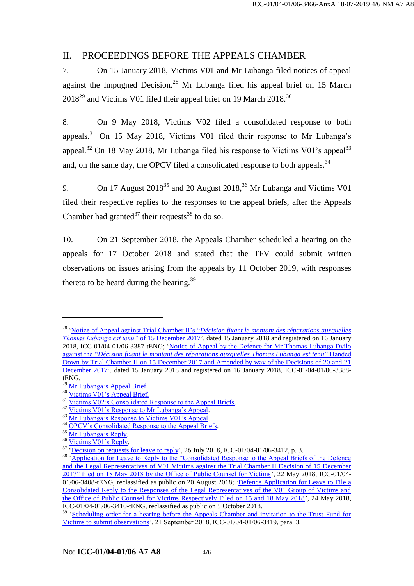## II. PROCEEDINGS BEFORE THE APPEALS CHAMBER

7. On 15 January 2018, Victims V01 and Mr Lubanga filed notices of appeal against the Impugned Decision.<sup>28</sup> Mr Lubanga filed his appeal brief on 15 March  $2018^{29}$  and Victims V01 filed their appeal brief on 19 March 2018.<sup>30</sup>

8. On 9 May 2018, Victims V02 filed a consolidated response to both appeals.<sup>31</sup> On 15 May 2018, Victims V01 filed their response to Mr Lubanga's appeal.<sup>32</sup> On 18 May 2018, Mr Lubanga filed his response to Victims V01's appeal<sup>33</sup> and, on the same day, the OPCV filed a consolidated response to both appeals.<sup>34</sup>

9. On 17 August  $2018^{35}$  and 20 August  $2018<sup>36</sup>$  Mr Lubanga and Victims V01 filed their respective replies to the responses to the appeal briefs, after the Appeals Chamber had granted $^{37}$  their requests<sup>38</sup> to do so.

10. On 21 September 2018, the Appeals Chamber scheduled a hearing on the appeals for 17 October 2018 and stated that the TFV could submit written observations on issues arising from the appeals by 11 October 2019, with responses thereto to be heard during the hearing.<sup>39</sup>

<sup>28</sup> 'Notice of Appeal against Trial Chamber II's "*[Décision fixant le montant des réparations auxquelles](http://www.legal-tools.org/doc/84f9a7/)  [Thomas Lubanga est tenu"](http://www.legal-tools.org/doc/84f9a7/)* of 15 December 2017', dated 15 January 2018 and registered on 16 January 2018, ICC-01/04-01/06-3387-tENG; ['Notice of Appeal by the Defence for Mr Thomas Lubanga Dyilo](http://www.legal-tools.org/doc/e8e1e4/)  against the "*[Décision fixant le montant des réparations auxquelles Thomas Lubanga est tenu](http://www.legal-tools.org/doc/e8e1e4/)*" Handed Down by Trial Chamber II on 15 December 2017 and Amended by way of the Decisions of 20 and 21 [December 2017'](http://www.legal-tools.org/doc/e8e1e4/), dated 15 January 2018 and registered on 16 January 2018, ICC-01/04-01/06-3388 tENG.

<sup>&</sup>lt;sup>29</sup> [Mr Lubanga's](http://www.legal-tools.org/doc/20d0e1/) Appeal Brief.

 $30 \frac{\text{Nucleon}}{\text{Victimes}}$  [Victims V01's Appeal Brief.](http://www.legal-tools.org/doc/1ba389/)

<sup>&</sup>lt;sup>31</sup> [Victims V02's Consolidated Response to the Appeal Briefs.](http://www.legal-tools.org/doc/d05d4c/)

<sup>&</sup>lt;sup>32</sup> [Victims V01's Response to Mr Lubanga's Appeal.](http://www.legal-tools.org/doc/777c9e/)

<sup>&</sup>lt;sup>33</sup> [Mr Lubanga's Response to Victims V01's Appeal.](http://www.legal-tools.org/doc/be7298/)

<sup>&</sup>lt;sup>34</sup> [OPCV's Consolidated Response to the Appeal Briefs.](http://www.legal-tools.org/doc/62adea/)

<sup>&</sup>lt;sup>35</sup> [Mr Lubanga's Reply.](http://www.legal-tools.org/doc/4317f9/)

<sup>&</sup>lt;sup>36</sup> [Victims V01's Reply.](http://www.legal-tools.org/doc/d0af10/)

 $\frac{37}{10}$   $\frac{1}{20}$   $\frac{1}{20}$   $\frac{1}{20}$   $\frac{1}{20}$   $\frac{1}{20}$   $\frac{1}{20}$   $\frac{1}{20}$   $\frac{1}{20}$   $\frac{1}{20}$   $\frac{1}{20}$   $\frac{1}{20}$   $\frac{1}{20}$   $\frac{1}{20}$   $\frac{1}{20}$   $\frac{1}{20}$   $\frac{1}{20}$   $\frac{1}{20}$   $\frac{1}{20}$   $\frac{1}{20}$ 

<sup>&</sup>lt;sup>38</sup> 'Application for Leave to Reply to the "Consolidated Response to the Appeal Briefs of the Defence [and the Legal Representatives of V01 Victims against the Trial Chamber II Decision of 15 December](http://www.legal-tools.org/doc/b99916/)  [2017" filed on 18 May 2018 by the Office of Public Counsel for Victims'](http://www.legal-tools.org/doc/b99916/), 22 May 2018, ICC-01/04- 01/06-3408-tENG, reclassified as public on 20 August 2018; ['Defence Application for Leave to File a](http://www.legal-tools.org/doc/6c15d8/)  [Consolidated Reply to the Responses of the Legal Representatives of the V01 Group of Victims and](http://www.legal-tools.org/doc/6c15d8/)  [the Office of Public Counsel for Victims Respectively Filed on 15 and 18 May 2018'](http://www.legal-tools.org/doc/6c15d8/), 24 May 2018, ICC-01/04-01/06-3410-tENG, reclassified as public on 5 October 2018.

<sup>&</sup>lt;sup>39</sup> 'Scheduling order for a hearing before the Appeals Chamber and invitation to the Trust Fund for [Victims to submit observations'](http://www.legal-tools.org/doc/4a573c/), 21 September 2018, ICC-01/04-01/06-3419, para. 3.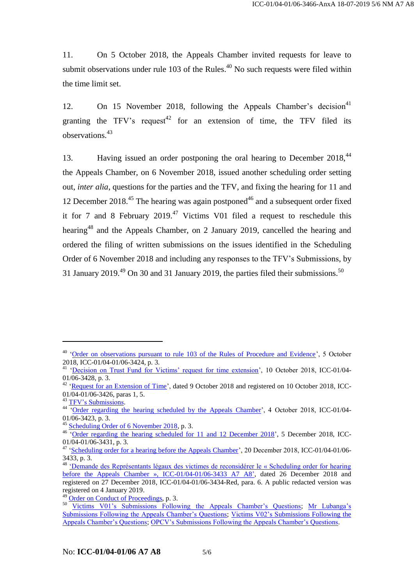11. On 5 October 2018, the Appeals Chamber invited requests for leave to submit observations under rule 103 of the Rules. $40$  No such requests were filed within the time limit set.

12. On 15 November 2018, following the Appeals Chamber's decision<sup>41</sup> granting the TFV's request<sup>42</sup> for an extension of time, the TFV filed its observations.<sup>43</sup>

13. Having issued an order postponing the oral hearing to December 2018.<sup>44</sup> the Appeals Chamber, on 6 November 2018, issued another scheduling order setting out, *inter alia*, questions for the parties and the TFV, and fixing the hearing for 11 and 12 December 2018.<sup>45</sup> The hearing was again postponed<sup>46</sup> and a subsequent order fixed it for 7 and 8 February 2019.<sup>47</sup> Victims V01 filed a request to reschedule this hearing<sup>48</sup> and the Appeals Chamber, on 2 January 2019, cancelled the hearing and ordered the filing of written submissions on the issues identified in the Scheduling Order of 6 November 2018 and including any responses to the TFV's Submissions, by 31 January 2019.<sup>49</sup> On 30 and 31 January 2019, the parties filed their submissions.<sup>50</sup>

<sup>&</sup>lt;sup>40</sup> ['Order on observations pursuant to rule 103 of the Rules of Procedure and Evidence'](http://www.legal-tools.org/doc/6d81b8/), 5 October 2018, ICC-01/04-01/06-3424, p. 3.

<sup>&</sup>lt;sup>41</sup> ['Decision on Trust Fund for Victims' request for time extension'](http://www.legal-tools.org/doc/5ee50c/), 10 October 2018, ICC-01/04- $01/06 - 3428$ , p. 3.

<sup>&</sup>lt;sup>42</sup> ['Request for an Extension of Time'](http://www.legal-tools.org/doc/8dbedb/), dated 9 October 2018 and registered on 10 October 2018, ICC- $01/\overline{04-01/06-3426}$ , paras 1, 5.

<sup>&</sup>lt;sup>43</sup> [TFV's Submissions.](https://www.legal-tools.org/en/doc/b3c52a/)

<sup>&</sup>lt;sup>44</sup> ['Order regarding the hearing scheduled by the Appeals Chamber'](http://www.legal-tools.org/doc/f9dc02/), 4 October 2018, ICC-01/04-01/06-3423, p. 3.

 $\frac{1}{5}$  [Scheduling Order of 6 November 2018,](http://www.legal-tools.org/doc/260189/) p. 3.

<sup>&</sup>lt;sup>46</sup> ['Order regarding the hearing scheduled for 11](http://www.legal-tools.org/doc/2dd7ca/) and 12 December 2018', 5 December 2018, ICC-01/04-01/06-3431, p. 3.

<sup>&</sup>lt;sup>47</sup> ['Scheduling order for a hearing before the Appeals Chamber'](http://www.legal-tools.org/doc/336ad8/), 20 December 2018, ICC-01/04-01/06-3433, p. 3.

<sup>&</sup>lt;sup>48</sup> 'Demande des Représentants légaux des victimes de reconsidérer le « Scheduling order for hearing [before the Appeals Chamber », ICC-01/04-01/06-3433](http://www.legal-tools.org/doc/a38982/) A7 A8', dated 26 December 2018 and registered on 27 December 2018, ICC-01/04-01/06-3434-Red, para. 6. A public redacted version was registered on 4 January 2019.

[Order on Conduct of Proceedings,](http://www.legal-tools.org/doc/655229/) p. 3.

<sup>50</sup> [Victims V01's Submissions Following the Appeals Chamber's Questions;](http://www.legal-tools.org/doc/c1485d/) [Mr Lubanga's](http://www.legal-tools.org/doc/4cde62/)  [Submissions Following the Appeals Chamber's Questions;](http://www.legal-tools.org/doc/4cde62/) [Victims V02's Submissions Following the](http://www.legal-tools.org/doc/0adf33/)  [Appeals Chamber's Questions;](http://www.legal-tools.org/doc/0adf33/) [OPCV's Submissions Following the Appeals Chamber's Questions.](http://www.legal-tools.org/doc/26d69f/)